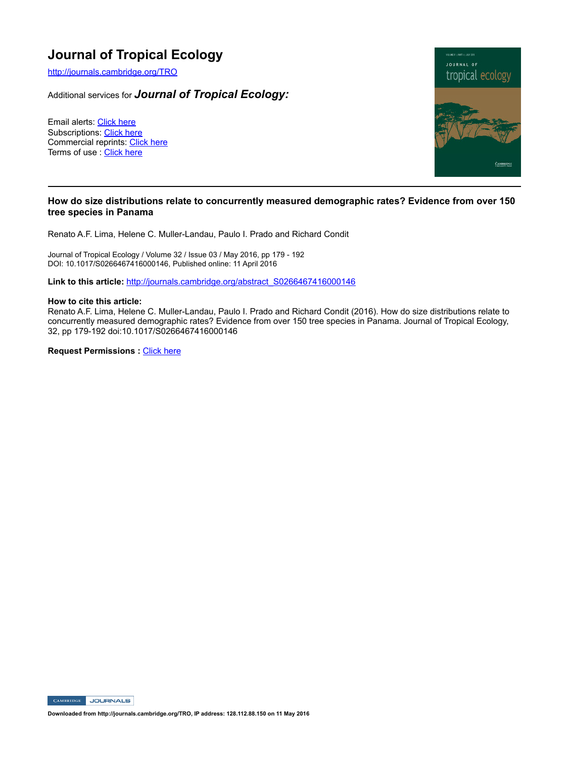# **Journal of Tropical Ecology**

http://journals.cambridge.org/TRO

Additional services for *Journal of Tropical Ecology:*

Email alerts: Click here Subscriptions: Click here Commercial reprints: Click here Terms of use : Click here



## **How do size distributions relate to concurrently measured demographic rates? Evidence from over 150 tree species in Panama**

Renato A.F. Lima, Helene C. Muller-Landau, Paulo I. Prado and Richard Condit

Journal of Tropical Ecology / Volume 32 / Issue 03 / May 2016, pp 179 - 192 DOI: 10.1017/S0266467416000146, Published online: 11 April 2016

Link to this article: http://journals.cambridge.org/abstract\_S0266467416000146

#### **How to cite this article:**

Renato A.F. Lima, Helene C. Muller-Landau, Paulo I. Prado and Richard Condit (2016). How do size distributions relate to concurrently measured demographic rates? Evidence from over 150 tree species in Panama. Journal of Tropical Ecology, 32, pp 179-192 doi:10.1017/S0266467416000146

**Request Permissions : Click here** 

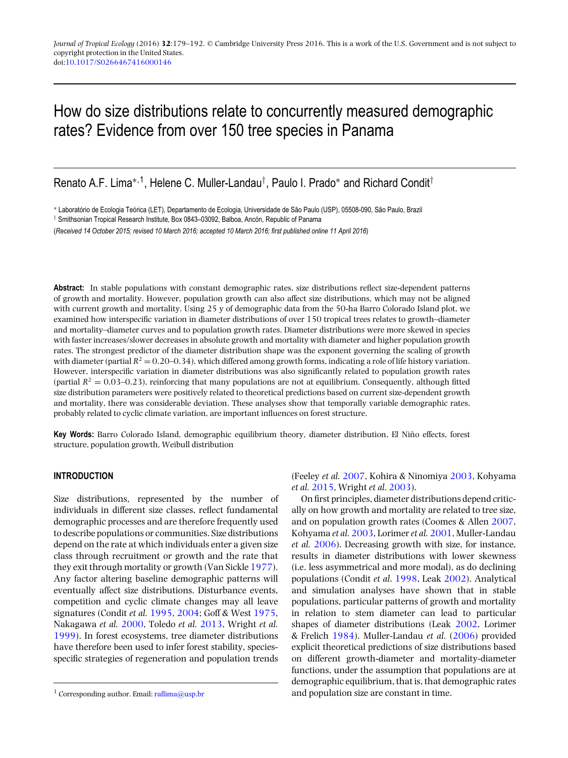# How do size distributions relate to concurrently measured demographic rates? Evidence from over 150 tree species in Panama

Renato A.F. Lima<sup>∗, 1</sup>, Helene C. Muller-Landau<sup>†</sup>, Paulo I. Prado<sup>∗</sup> and Richard Condit<sup>†</sup>

\* Laboratório de Ecologia Teórica (LET), Departamento de Ecologia, Universidade de São Paulo (USP), 05508-090, São Paulo, Brazil

<sup>†</sup> Smithsonian Tropical Research Institute, Box 0843-03092, Balboa, Ancón, Republic of Panama

(*Received 14 October 2015; revised 10 March 2016; accepted 10 March 2016; first published online 11 April 2016*)

**Abstract:** In stable populations with constant demographic rates, size distributions reflect size-dependent patterns of growth and mortality. However, population growth can also affect size distributions, which may not be aligned with current growth and mortality. Using 25 y of demographic data from the 50-ha Barro Colorado Island plot, we examined how interspecific variation in diameter distributions of over 150 tropical trees relates to growth–diameter and mortality–diameter curves and to population growth rates. Diameter distributions were more skewed in species with faster increases/slower decreases in absolute growth and mortality with diameter and higher population growth rates. The strongest predictor of the diameter distribution shape was the exponent governing the scaling of growth with diameter (partial  $R^2 = 0.20 - 0.34$ ), which differed among growth forms, indicating a role of life history variation. However, interspecific variation in diameter distributions was also significantly related to population growth rates (partial  $R^2 = 0.03$ –0.23), reinforcing that many populations are not at equilibrium. Consequently, although fitted size distribution parameters were positively related to theoretical predictions based on current size-dependent growth and mortality, there was considerable deviation. These analyses show that temporally variable demographic rates, probably related to cyclic climate variation, are important influences on forest structure.

Key Words: Barro Colorado Island, demographic equilibrium theory, diameter distribution, El Niño effects, forest structure, population growth, Weibull distribution

#### **INTRODUCTION**

Size distributions, represented by the number of individuals in different size classes, reflect fundamental demographic processes and are therefore frequently used to describe populations or communities. Size distributions depend on the rate at which individuals enter a given size class through recruitment or growth and the rate that they exit through mortality or growth (Van Sickle [1977\)](#page-10-0). Any factor altering baseline demographic patterns will eventually affect size distributions. Disturbance events, competition and cyclic climate changes may all leave signatures (Condit *et al.* [1995,](#page-9-0) [2004;](#page-9-0) Goff & West [1975,](#page-9-0) Nakagawa *et al.* [2000,](#page-10-0) Toledo *et al.* [2013,](#page-10-0) Wright *et al.* [1999\)](#page-10-0). In forest ecosystems, tree diameter distributions have therefore been used to infer forest stability, speciesspecific strategies of regeneration and population trends

(Feeley *et al.* [2007,](#page-9-0) Kohira & Ninomiya [2003,](#page-9-0) Kohyama *et al.* [2015,](#page-9-0) Wright *et al.* [2003\)](#page-10-0).

On first principles, diameter distributions depend critically on how growth and mortality are related to tree size, and on population growth rates (Coomes & Allen [2007,](#page-9-0) Kohyama *et al.* [2003,](#page-9-0) Lorimer*et al.* [2001,](#page-9-0) Muller-Landau *et al.* [2006\)](#page-9-0). Decreasing growth with size, for instance, results in diameter distributions with lower skewness (i.e. less asymmetrical and more modal), as do declining populations (Condit *et al*. [1998,](#page-9-0) Leak [2002\)](#page-9-0). Analytical and simulation analyses have shown that in stable populations, particular patterns of growth and mortality in relation to stem diameter can lead to particular shapes of diameter distributions (Leak [2002,](#page-9-0) Lorimer & Frelich [1984\)](#page-9-0). Muller-Landau *et al.* [\(2006\)](#page-9-0) provided explicit theoretical predictions of size distributions based on different growth-diameter and mortality-diameter functions, under the assumption that populations are at demographic equilibrium, that is, that demographic rates and population size are constant in time.

<sup>&</sup>lt;sup>1</sup> Corresponding author. Email:  $\text{raffima}(\partial\!\!\partial\!\!\psi)$ .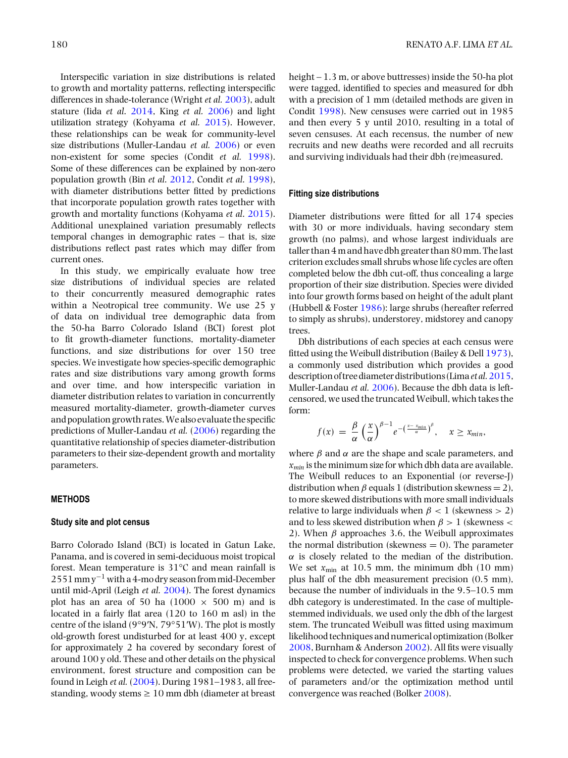Interspecific variation in size distributions is related to growth and mortality patterns, reflecting interspecific differences in shade-tolerance (Wright *et al.* [2003\)](#page-10-0), adult stature (Iida *et al*. [2014,](#page-9-0) King *et al.* [2006\)](#page-9-0) and light utilization strategy (Kohyama *et al.* [2015\)](#page-9-0). However, these relationships can be weak for community-level size distributions (Muller-Landau *et al.* [2006\)](#page-9-0) or even non-existent for some species (Condit *et al.* [1998\)](#page-9-0). Some of these differences can be explained by non-zero population growth (Bin *et al*. [2012,](#page-9-0) Condit *et al*. [1998\)](#page-9-0), with diameter distributions better fitted by predictions that incorporate population growth rates together with growth and mortality functions (Kohyama *et al*. [2015\)](#page-9-0). Additional unexplained variation presumably reflects temporal changes in demographic rates – that is, size distributions reflect past rates which may differ from current ones.

In this study, we empirically evaluate how tree size distributions of individual species are related to their concurrently measured demographic rates within a Neotropical tree community. We use 25 y of data on individual tree demographic data from the 50-ha Barro Colorado Island (BCI) forest plot to fit growth-diameter functions, mortality-diameter functions, and size distributions for over 150 tree species. We investigate how species-specific demographic rates and size distributions vary among growth forms and over time, and how interspecific variation in diameter distribution relates to variation in concurrently measured mortality-diameter, growth-diameter curves and population growth rates.We also evaluate the specific predictions of Muller-Landau *et al.* [\(2006\)](#page-9-0) regarding the quantitative relationship of species diameter-distribution parameters to their size-dependent growth and mortality parameters.

#### **METHODS**

#### **Study site and plot census**

Barro Colorado Island (BCI) is located in Gatun Lake, Panama, and is covered in semi-deciduous moist tropical forest. Mean temperature is 31°C and mean rainfall is  $2551$  mm y<sup>-1</sup> with a 4-mo dry season from mid-December until mid-April (Leigh *et al.* [2004\)](#page-9-0). The forest dynamics plot has an area of 50 ha  $(1000 \times 500 \text{ m})$  and is located in a fairly flat area (120 to 160 m asl) in the centre of the island (9°9′N, 79°51′W). The plot is mostly old-growth forest undisturbed for at least 400 y, except for approximately 2 ha covered by secondary forest of around 100 y old. These and other details on the physical environment, forest structure and composition can be found in Leigh *et al.* [\(2004\)](#page-9-0). During 1981–1983, all freestanding, woody stems  $\geq 10$  mm dbh (diameter at breast

height – 1.3 m, or above buttresses) inside the 50-ha plot were tagged, identified to species and measured for dbh with a precision of 1 mm (detailed methods are given in Condit [1998\)](#page-9-0). New censuses were carried out in 1985 and then every 5 y until 2010, resulting in a total of seven censuses. At each recensus, the number of new recruits and new deaths were recorded and all recruits and surviving individuals had their dbh (re)measured.

#### **Fitting size distributions**

Diameter distributions were fitted for all 174 species with 30 or more individuals, having secondary stem growth (no palms), and whose largest individuals are taller than 4m and have dbh greater than 80mm. The last criterion excludes small shrubs whose life cycles are often completed below the dbh cut-off, thus concealing a large proportion of their size distribution. Species were divided into four growth forms based on height of the adult plant (Hubbell & Foster [1986\)](#page-9-0): large shrubs (hereafter referred to simply as shrubs), understorey, midstorey and canopy trees.

Dbh distributions of each species at each census were fitted using the Weibull distribution (Bailey & Dell [1973\)](#page-9-0), a commonly used distribution which provides a good description of tree diameter distributions (Lima*et al.*[2015,](#page-9-0) Muller-Landau *et al.* [2006\)](#page-9-0). Because the dbh data is leftcensored, we used the truncated Weibull, which takes the form:

$$
f(x) = \frac{\beta}{\alpha} \left(\frac{x}{\alpha}\right)^{\beta-1} e^{-\left(\frac{x - x_{min}}{\alpha}\right)^{\beta}}, \quad x \geq x_{min},
$$

where  $\beta$  and  $\alpha$  are the shape and scale parameters, and *xmin* is the minimum size for which dbh data are available. The Weibull reduces to an Exponential (or reverse-J) distribution when  $\beta$  equals 1 (distribution skewness = 2). to more skewed distributions with more small individuals relative to large individuals when  $\beta < 1$  (skewness > 2) and to less skewed distribution when  $\beta > 1$  (skewness < 2). When  $\beta$  approaches 3.6, the Weibull approximates the normal distribution (skewness  $= 0$ ). The parameter  $\alpha$  is closely related to the median of the distribution. We set  $x_{\text{min}}$  at 10.5 mm, the minimum dbh (10 mm) plus half of the dbh measurement precision (0.5 mm), because the number of individuals in the 9.5–10.5 mm dbh category is underestimated. In the case of multiplestemmed individuals, we used only the dbh of the largest stem. The truncated Weibull was fitted using maximum likelihood techniques and numerical optimization (Bolker [2008,](#page-9-0) Burnham & Anderson [2002\)](#page-9-0). All fits were visually inspected to check for convergence problems. When such problems were detected, we varied the starting values of parameters and/or the optimization method until convergence was reached (Bolker [2008\)](#page-9-0).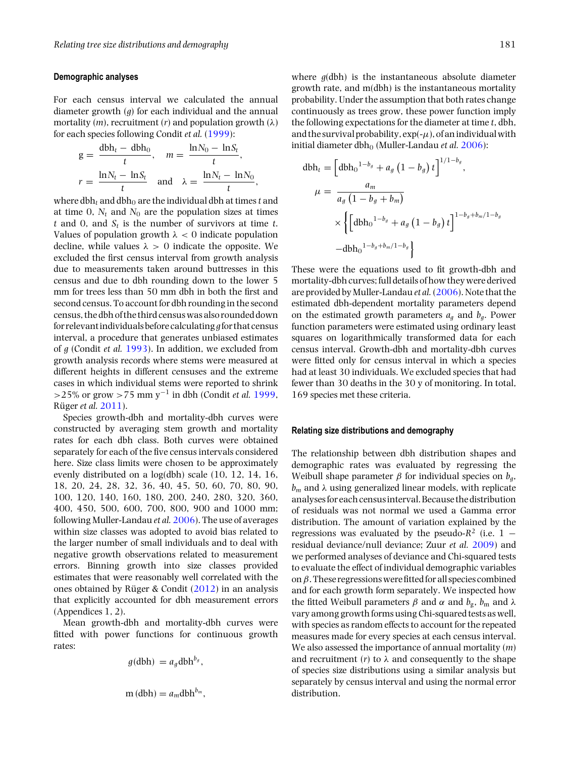#### **Demographic analyses**

For each census interval we calculated the annual diameter growth (*g*) for each individual and the annual mortality  $(m)$ , recruitment  $(r)$  and population growth  $(\lambda)$ for each species following Condit *et al.* [\(1999\)](#page-9-0):

$$
g = \frac{dbh_t - dbh_0}{t}, \quad m = \frac{\ln N_0 - \ln S_t}{t},
$$

$$
r = \frac{\ln N_t - \ln S_t}{t} \quad \text{and} \quad \lambda = \frac{\ln N_t - \ln N_0}{t},
$$

where  $dbh_t$  and  $dbh_0$  are the individual dbh at times t and at time 0,  $N_t$  and  $N_0$  are the population sizes at times  $t$  and 0, and  $S_t$  is the number of survivors at time  $t$ . Values of population growth  $\lambda < 0$  indicate population decline, while values  $\lambda > 0$  indicate the opposite. We excluded the first census interval from growth analysis due to measurements taken around buttresses in this census and due to dbh rounding down to the lower 5 mm for trees less than 50 mm dbh in both the first and second census. To account for dbh rounding in the second census, the dbh of the third census was also rounded down for relevantindividuals before calculating*g* for that census interval, a procedure that generates unbiased estimates of *g* (Condit *et al.* [1993\)](#page-9-0). In addition, we excluded from growth analysis records where stems were measured at different heights in different censuses and the extreme cases in which individual stems were reported to shrink >25% or grow >75 mm y−<sup>1</sup> in dbh (Condit *et al.* [1999,](#page-9-0) Rüger *et al.* [2011\)](#page-10-0).

Species growth-dbh and mortality-dbh curves were constructed by averaging stem growth and mortality rates for each dbh class. Both curves were obtained separately for each of the five census intervals considered here. Size class limits were chosen to be approximately evenly distributed on a log(dbh) scale (10, 12, 14, 16, 18, 20, 24, 28, 32, 36, 40, 45, 50, 60, 70, 80, 90, 100, 120, 140, 160, 180, 200, 240, 280, 320, 360, 400, 450, 500, 600, 700, 800, 900 and 1000 mm; following Muller-Landau *et al.* [2006\)](#page-9-0). The use of averages within size classes was adopted to avoid bias related to the larger number of small individuals and to deal with negative growth observations related to measurement errors. Binning growth into size classes provided estimates that were reasonably well correlated with the ones obtained by Rüger & Condit  $(2012)$  $(2012)$  in an analysis that explicitly accounted for dbh measurement errors (Appendices 1, 2).

Mean growth-dbh and mortality-dbh curves were fitted with power functions for continuous growth rates:

$$
g(\text{dbh}) = a_g \text{dbh}^{b_g},
$$

$$
m\left( dbh\right) =a_{m}dbh^{b_{m}},
$$

where *g*(dbh) is the instantaneous absolute diameter growth rate, and m(dbh) is the instantaneous mortality probability. Under the assumption that both rates change continuously as trees grow, these power function imply the following expectations for the diameter at time *t*, dbh, and the survival probability,  $exp(-\mu)$ , of an individual with initial diameter dbh<sub>0</sub> (Muller-Landau et al. [2006\)](#page-9-0):

$$
dbh_t = \left[ dbh_0^{1-b_g} + a_g (1-b_g) t \right]^{1/1-b_g},
$$
  
\n
$$
\mu = \frac{a_m}{a_g (1-b_g+b_m)}
$$
  
\n
$$
\times \left\{ \left[ dbh_0^{1-b_g} + a_g (1-b_g) t \right]^{1-b_g+b_m/1-b_g} - dbh_0^{1-b_g+b_m/1-b_g} \right\}
$$

These were the equations used to fit growth-dbh and mortality-dbh curves; full details of how they were derived are provided by Muller-Landau*et al.*[\(2006\)](#page-9-0). Note that the estimated dbh-dependent mortality parameters depend on the estimated growth parameters *ag* and *bg*. Power function parameters were estimated using ordinary least squares on logarithmically transformed data for each census interval. Growth-dbh and mortality-dbh curves were fitted only for census interval in which a species had at least 30 individuals. We excluded species that had fewer than 30 deaths in the 30 y of monitoring. In total, 169 species met these criteria.

#### **Relating size distributions and demography**

The relationship between dbh distribution shapes and demographic rates was evaluated by regressing the Weibull shape parameter  $\beta$  for individual species on  $b_{a}$ ,  $b_m$  and  $\lambda$  using generalized linear models, with replicate analysesfor each censusinterval. Because the distribution of residuals was not normal we used a Gamma error distribution. The amount of variation explained by the regressions was evaluated by the pseudo- $R^2$  (i.e. 1 − residual deviance/null deviance; Zuur *et al.* [2009\)](#page-10-0) and we performed analyses of deviance and Chi-squared tests to evaluate the effect of individual demographic variables on  $\beta$ . These regressions were fitted for all species combined and for each growth form separately. We inspected how the fitted Weibull parameters  $β$  and  $α$  and  $b_g$ ,  $b_m$  and  $λ$ vary among growth forms using Chi-squared tests as well, with species as random effects to account for the repeated measures made for every species at each census interval. We also assessed the importance of annual mortality (*m*) and recruitment (*r*) to  $\lambda$  and consequently to the shape of species size distributions using a similar analysis but separately by census interval and using the normal error distribution.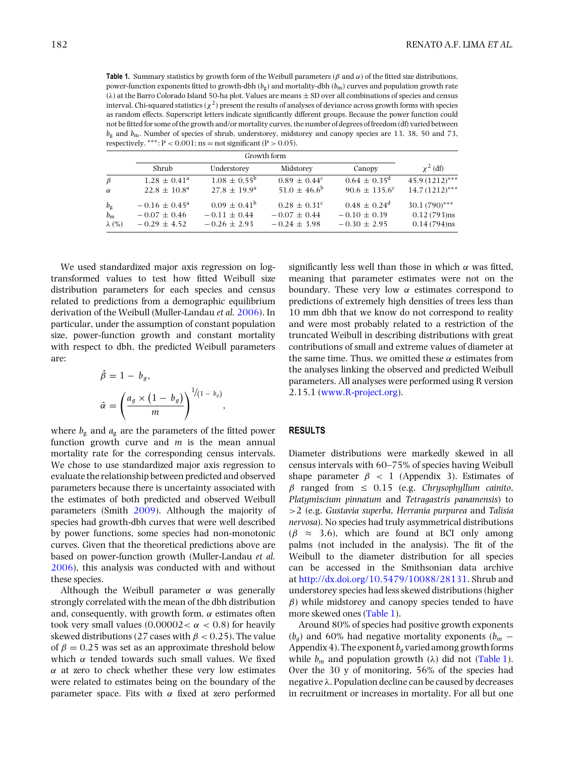**Table 1.** Summary statistics by growth form of the Weibull parameters ( $\beta$  and  $\alpha$ ) of the fitted size distributions, power-function exponents fitted to growth-dbh  $(b_g)$  and mortality-dbh  $(b_m)$  curves and population growth rate  $(\lambda)$  at the Barro Colorado Island 50-ha plot. Values are means  $\pm$  SD over all combinations of species and census interval. Chi-squared statistics  $(\chi^2)$  present the results of analyses of deviance across growth forms with species as random effects. Superscript letters indicate significantly different groups. Because the power function could not be fitted for some of the growth and/or mortality curves, the number of degrees of freedom (df) varied between  $b_g$  and  $b_m$ . Number of species of shrub, understorey, midstorey and canopy species are 13, 38, 50 and 73, respectively.  $***: P < 0.001$ ; ns = not significant (P > 0.05).

|               | Shrub                    | Understorey             | Midstorey               | Canopy                     | $\chi^2$ (df)    |
|---------------|--------------------------|-------------------------|-------------------------|----------------------------|------------------|
| $\beta$       | $1.28 \pm 0.41^{\rm a}$  | $1.08 \pm 0.55^{\circ}$ | $0.89 \pm 0.44^c$       | $0.64 \pm 0.35^{\text{d}}$ | $45.9(1212)$ *** |
| $\alpha$      | $22.8 \pm 10.8^{\circ}$  | $27.8 \pm 19.9^{\rm a}$ | $51.0 \pm 46.6^{\circ}$ | $90.6 \pm 135.6^c$         | $14.7(1212)$ *** |
| $b_{\rm g}$   | $-0.16 \pm 0.45^{\circ}$ | $0.09 \pm 0.41^{\rm b}$ | $0.28 \pm 0.31^c$       | $0.48 \pm 0.24^d$          | $30.1(790)$ ***  |
| $b_{\rm m}$   | $-0.07 \pm 0.46$         | $-0.11 \pm 0.44$        | $-0.07 \pm 0.44$        | $-0.10 \pm 0.39$           | $0.12(793)$ ns   |
| $\lambda$ (%) | $-0.29 \pm 4.52$         | $-0.26 \pm 2.93$        | $-0.24 \pm 3.98$        | $-0.30 \pm 2.95$           | $0.14(794)$ ns   |

We used standardized major axis regression on logtransformed values to test how fitted Weibull size distribution parameters for each species and census related to predictions from a demographic equilibrium derivation of the Weibull (Muller-Landau *et al.* [2006\)](#page-9-0). In particular, under the assumption of constant population size, power-function growth and constant mortality with respect to dbh, the predicted Weibull parameters are:

$$
\hat{\beta} = 1 - b_g,
$$
  

$$
\hat{\alpha} = \left(\frac{a_g \times (1 - b_g)}{m}\right)^{1/(1 - b_g)},
$$

where  $b_g$  and  $a_g$  are the parameters of the fitted power function growth curve and *m* is the mean annual mortality rate for the corresponding census intervals. We chose to use standardized major axis regression to evaluate the relationship between predicted and observed parameters because there is uncertainty associated with the estimates of both predicted and observed Weibull parameters (Smith [2009\)](#page-10-0). Although the majority of species had growth-dbh curves that were well described by power functions, some species had non-monotonic curves. Given that the theoretical predictions above are based on power-function growth (Muller-Landau *et al.* [2006\)](#page-9-0), this analysis was conducted with and without these species.

Although the Weibull parameter  $\alpha$  was generally strongly correlated with the mean of the dbh distribution and, consequently, with growth form,  $\alpha$  estimates often took very small values  $(0.00002 < \alpha < 0.8)$  for heavily skewed distributions (27 cases with  $\beta$  < 0.25). The value of  $\beta = 0.25$  was set as an approximate threshold below which  $\alpha$  tended towards such small values. We fixed  $\alpha$  at zero to check whether these very low estimates were related to estimates being on the boundary of the parameter space. Fits with  $\alpha$  fixed at zero performed

significantly less well than those in which  $\alpha$  was fitted, meaning that parameter estimates were not on the boundary. These very low  $\alpha$  estimates correspond to predictions of extremely high densities of trees less than 10 mm dbh that we know do not correspond to reality and were most probably related to a restriction of the truncated Weibull in describing distributions with great contributions of small and extreme values of diameter at the same time. Thus, we omitted these  $\alpha$  estimates from the analyses linking the observed and predicted Weibull parameters. All analyses were performed using R version 2.15.1 [\(www.R-project.org\)](http://www.R-project.org).

### **RESULTS**

Diameter distributions were markedly skewed in all census intervals with 60–75% of species having Weibull shape parameter  $\beta$  < 1 (Appendix 3). Estimates of  $β$  ranged from  $≤$  0.15 (e.g. *Chrysophyllum cainito*, *Platymiscium pinnatum* and *Tetragastris panamensis*) to >2 (e.g. *Gustavia superba*, *Herrania purpurea* and *Talisia nervosa*). No species had truly asymmetrical distributions  $(\beta \approx 3.6)$ , which are found at BCI only among palms (not included in the analysis). The fit of the Weibull to the diameter distribution for all species can be accessed in the Smithsonian data archive at [http://dx.doi.org/10.5479/10088/28131.](http://dx.doi.org/10.5479/10088/28131) Shrub and understorey species had less skewed distributions (higher  $\beta$ ) while midstorey and canopy species tended to have more skewed ones (Table 1).

Around 80% of species had positive growth exponents  $(b_a)$  and 60% had negative mortality exponents  $(b_m - b_a)$ Appendix 4). The exponent  $b_q$  varied among growth forms while  $b_m$  and population growth ( $\lambda$ ) did not (Table 1). Over the 30 y of monitoring, 56% of the species had negative λ. Population decline can be caused by decreases in recruitment or increases in mortality. For all but one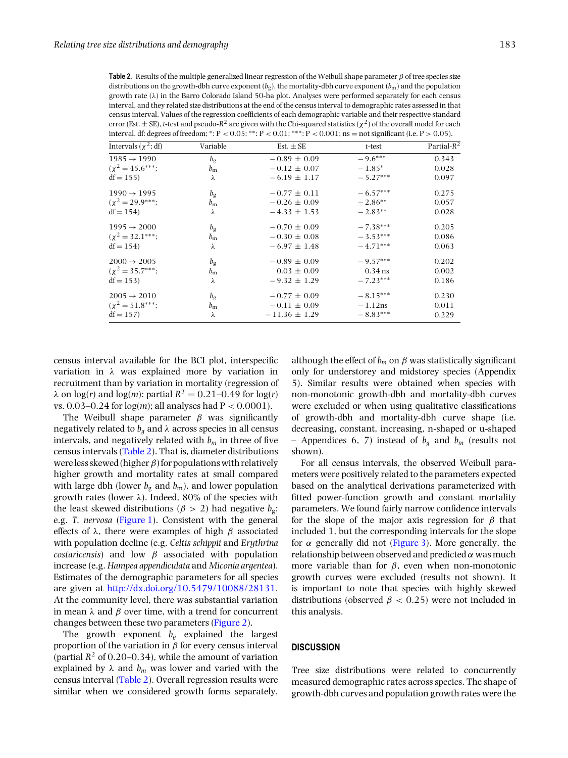**Table 2.** Results of the multiple generalized linear regression of the Weibull shape parameter  $\beta$  of tree species size distributions on the growth-dbh curve exponent  $(b_g)$ , the mortality-dbh curve exponent  $(b_m)$  and the population growth rate  $(\lambda)$  in the Barro Colorado Island 50-ha plot. Analyses were performed separately for each census interval, and they related size distributions at the end of the census interval to demographic rates assessed in that census interval. Values of the regression coefficients of each demographic variable and their respective standard error (Est.  $\pm$  SE), *t*-test and pseudo- $R^2$  are given with the Chi-squared statistics ( $\chi^2$ ) of the overall model for each interval. df: degrees of freedom; \*: P < 0.05; \*\*; P < 0.01; \*\*\*; P < 0.001; ns = not significant (i.e. P > 0.05).

| Intervals $(\chi^2; df)$ | Variable    | Est. $\pm$ SE     | t-test     | Partial- $R^2$ |
|--------------------------|-------------|-------------------|------------|----------------|
| $1985 \rightarrow 1990$  | $b_{\rm g}$ | $-0.89 \pm 0.09$  | $-9.6***$  | 0.343          |
| $(\chi^2 = 45.6^{***};$  | $b_{\rm m}$ | $-0.12 \pm 0.07$  | $-1.85*$   | 0.028          |
| $df = 155$               | λ           | $-6.19 \pm 1.17$  | $-5.27***$ | 0.097          |
| $1990 \rightarrow 1995$  | $b_{\rm g}$ | $-0.77 \pm 0.11$  | $-6.57***$ | 0.275          |
| $(x^2 = 29.9^{***};$     | $b_{\rm m}$ | $-0.26 \pm 0.09$  | $-2.86**$  | 0.057          |
| $df = 154$               | λ           | $-4.33 \pm 1.53$  | $-2.83**$  | 0.028          |
| $1995 \rightarrow 2000$  | $b_{\rm g}$ | $-0.70 \pm 0.09$  | $-7.38***$ | 0.205          |
| $(x^2 = 32.1***;$        | $b_{\rm m}$ | $-0.30 \pm 0.08$  | $-3.53***$ | 0.086          |
| $df = 154$               | λ           | $-6.97 \pm 1.48$  | $-4.71***$ | 0.063          |
| $2000 \rightarrow 2005$  | $b_{\rm g}$ | $-0.89 \pm 0.09$  | $-9.57***$ | 0.202          |
| $(\chi^2 = 35.7^{***};$  | $b_{\rm m}$ | $0.03 \pm 0.09$   | $0.34$ ns  | 0.002          |
| $df = 153$               | λ           | $-9.32 \pm 1.29$  | $-7.23***$ | 0.186          |
| $2005 \rightarrow 2010$  | $b_{\rm g}$ | $-0.77 \pm 0.09$  | $-8.15***$ | 0.230          |
| $(\chi^2 = 51.8^{***};$  | $b_{\rm m}$ | $-0.11 \pm 0.09$  | $-1.12$ ns | 0.011          |
| $df = 157$               | λ           | $-11.36 \pm 1.29$ | $-8.83***$ | 0.229          |

census interval available for the BCI plot, interspecific variation in  $\lambda$  was explained more by variation in recruitment than by variation in mortality (regression of  $\lambda$  on log(*r*) and log(*m*): partial  $R^2 = 0.21 - 0.49$  for log(*r*) vs.  $0.03-0.24$  for  $log(m)$ ; all analyses had  $P < 0.0001$ ).

The Weibull shape parameter  $\beta$  was significantly negatively related to  $b_g$  and  $\lambda$  across species in all census intervals, and negatively related with  $b_m$  in three of five census intervals (Table 2). That is, diameter distributions were less skewed (higher  $\beta$ ) for populations with relatively higher growth and mortality rates at small compared with large dbh (lower  $b_g$  and  $b_m$ ), and lower population growth rates (lower  $\lambda$ ). Indeed, 80% of the species with the least skewed distributions ( $\beta > 2$ ) had negative *b<sub>g</sub>*; e.g. *T*. *nervosa* [\(Figure 1\)](#page-6-0). Consistent with the general effects of  $λ$ , there were examples of high  $β$  associated with population decline (e.g. *Celtis schippii* and *Erythrina costaricensis*) and low  $\beta$  associated with population increase (e.g. *Hampea appendiculata* and *Miconia argentea*). Estimates of the demographic parameters for all species are given at [http://dx.doi.org/10.5479/10088/28131.](http://dx.doi.org/10.5479/10088/28131) At the community level, there was substantial variation in mean  $λ$  and  $β$  over time, with a trend for concurrent changes between these two parameters [\(Figure 2\)](#page-7-0).

The growth exponent  $b_q$  explained the largest proportion of the variation in  $\beta$  for every census interval (partial  $R^2$  of 0.20–0.34), while the amount of variation explained by  $\lambda$  and  $b_m$  was lower and varied with the census interval (Table 2). Overall regression results were similar when we considered growth forms separately, although the effect of  $b_m$  on  $\beta$  was statistically significant only for understorey and midstorey species (Appendix 5). Similar results were obtained when species with non-monotonic growth-dbh and mortality-dbh curves were excluded or when using qualitative classifications of growth-dbh and mortality-dbh curve shape (i.e. decreasing, constant, increasing, n-shaped or u-shaped – Appendices 6, 7) instead of  $b_g$  and  $b_m$  (results not shown).

For all census intervals, the observed Weibull parameters were positively related to the parameters expected based on the analytical derivations parameterized with fitted power-function growth and constant mortality parameters. We found fairly narrow confidence intervals for the slope of the major axis regression for  $\beta$  that included 1, but the corresponding intervals for the slope for  $\alpha$  generally did not [\(Figure 3\)](#page-8-0). More generally, the relationship between observed and predicted  $\alpha$  was much more variable than for  $β$ , even when non-monotonic growth curves were excluded (results not shown). It is important to note that species with highly skewed distributions (observed  $\beta$  < 0.25) were not included in this analysis.

#### **DISCUSSION**

Tree size distributions were related to concurrently measured demographic rates across species. The shape of growth-dbh curves and population growth rates were the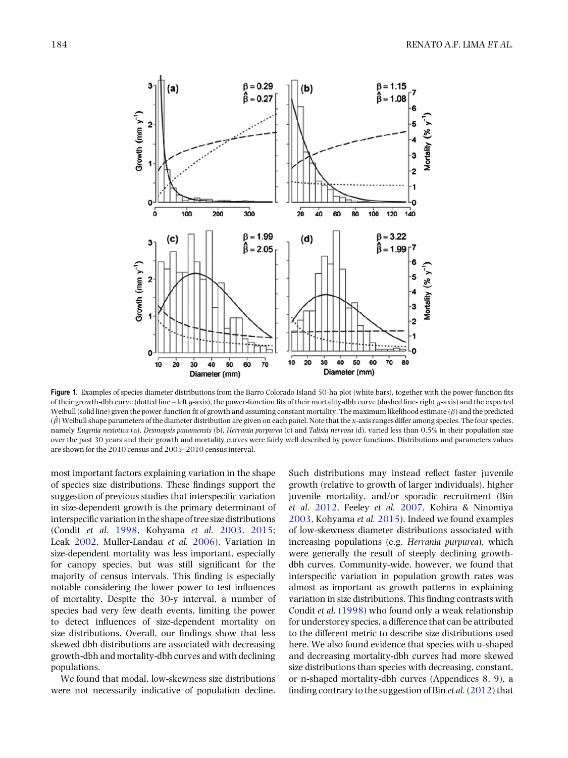<span id="page-6-0"></span>

**Figure 1.** Examples of species diameter distributions from the Barro Colorado Island 50-ha plot (white bars), together with the power-function fits of their growth-dbh curve (dotted line – left *y*-axis), the power-function fits of their mortality-dbh curve (dashed line- right *y*-axis) and the expected Weibull (solid line) given the power-function fit of growth and assuming constant mortality. The maximum likelihood estimate  $(\beta)$  and the predicted  $(\hat{\beta})$  Weibull shape parameters of the diameter distribution are given on each panel. Note that the *x*-axis ranges differ among species. The four species, namely *Eugenia nesiotica* (a), *Desmopsis panamensis* (b), *Herrania purpurea* (c) and *Talisia nervosa* (d), varied less than 0.5% in their population size over the past 30 years and their growth and mortality curves were fairly well described by power functions. Distributions and parameters values are shown for the 2010 census and 2005–2010 census interval.

most important factors explaining variation in the shape of species size distributions. These findings support the suggestion of previous studies that interspecific variation in size-dependent growth is the primary determinant of interspecific variation in the shape of tree size distributions (Condit *et al.* [1998,](#page-9-0) Kohyama *et al.* [2003,](#page-9-0) [2015;](#page-9-0) Leak [2002,](#page-9-0) Muller-Landau *et al.* [2006\)](#page-9-0). Variation in size-dependent mortality was less important, especially for canopy species, but was still significant for the majority of census intervals. This finding is especially notable considering the lower power to test influences of mortality. Despite the 30-y interval, a number of species had very few death events, limiting the power to detect influences of size-dependent mortality on size distributions. Overall, our findings show that less skewed dbh distributions are associated with decreasing growth-dbh and mortality-dbh curves and with declining populations.

We found that modal, low-skewness size distributions were not necessarily indicative of population decline.

Such distributions may instead reflect faster juvenile growth (relative to growth of larger individuals), higher juvenile mortality, and/or sporadic recruitment (Bin *et al.* [2012,](#page-9-0) Feeley *et al.* [2007,](#page-9-0) Kohira & Ninomiya [2003,](#page-9-0) Kohyama *et al.* [2015\)](#page-9-0). Indeed we found examples of low-skewness diameter distributions associated with increasing populations (e.g. *Herrania purpurea*), which were generally the result of steeply declining growthdbh curves. Community-wide, however, we found that interspecific variation in population growth rates was almost as important as growth patterns in explaining variation in size distributions. This finding contrasts with Condit *et al.* [\(1998\)](#page-9-0) who found only a weak relationship for understorey species, a difference that can be attributed to the different metric to describe size distributions used here. We also found evidence that species with u-shaped and decreasing mortality-dbh curves had more skewed size distributions than species with decreasing, constant, or n-shaped mortality-dbh curves (Appendices 8, 9), a finding contrary to the suggestion of Bin *et al.* [\(2012\)](#page-9-0) that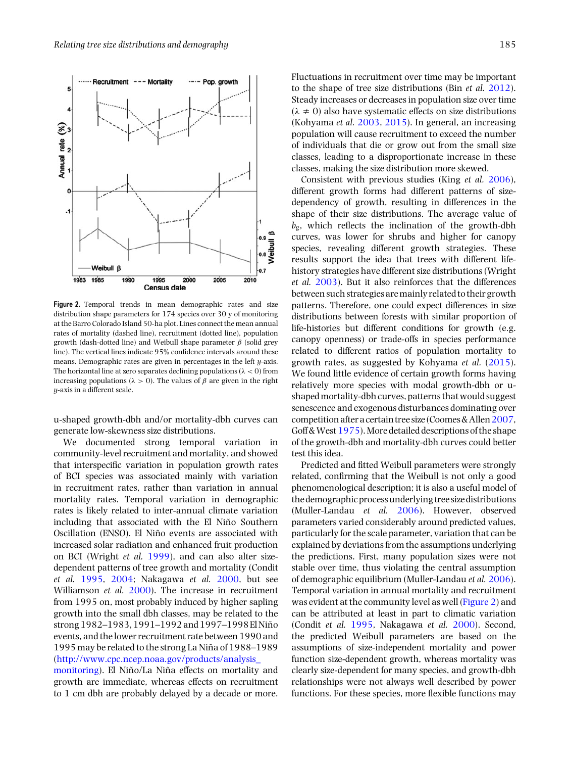<span id="page-7-0"></span>

**Figure 2.** Temporal trends in mean demographic rates and size distribution shape parameters for 174 species over 30 y of monitoring at the Barro Colorado Island 50-ha plot. Lines connect the mean annual rates of mortality (dashed line), recruitment (dotted line), population growth (dash-dotted line) and Weibull shape parameter  $\beta$  (solid grey line). The vertical lines indicate 95% confidence intervals around these means. Demographic rates are given in percentages in the left *y*-axis. The horizontal line at zero separates declining populations ( $\lambda < 0$ ) from increasing populations ( $\lambda > 0$ ). The values of β are given in the right *y*-axis in a different scale.

u-shaped growth-dbh and/or mortality-dbh curves can generate low-skewness size distributions.

We documented strong temporal variation in community-level recruitment and mortality, and showed that interspecific variation in population growth rates of BCI species was associated mainly with variation in recruitment rates, rather than variation in annual mortality rates. Temporal variation in demographic rates is likely related to inter-annual climate variation including that associated with the El Niño Southern Oscillation (ENSO). El Niño events are associated with increased solar radiation and enhanced fruit production on BCI (Wright *et al.* [1999\)](#page-10-0), and can also alter sizedependent patterns of tree growth and mortality (Condit *et al.* [1995,](#page-9-0) [2004;](#page-9-0) Nakagawa *et al.* [2000,](#page-10-0) but see Williamson *et al.* [2000\)](#page-10-0). The increase in recruitment from 1995 on, most probably induced by higher sapling growth into the small dbh classes, may be related to the strong 1982–1983, 1991–1992 and 1997–1998 El Niño events, and the lower recruitment rate between 1990 and 1995 may be related to the strong La Nina of 1988–1989 ˜ [\(http://www.cpc.ncep.noaa.gov/products/analysis\\_](http://www.cpc.ncep.noaa.gov/products/analysis_monitoring)

[monitoring\)](http://www.cpc.ncep.noaa.gov/products/analysis_monitoring). El Niño/La Niña effects on mortality and growth are immediate, whereas effects on recruitment to 1 cm dbh are probably delayed by a decade or more. Fluctuations in recruitment over time may be important to the shape of tree size distributions (Bin *et al.* [2012\)](#page-9-0). Steady increases or decreases in population size over time  $(\lambda \neq 0)$  also have systematic effects on size distributions (Kohyama *et al.* [2003,](#page-9-0) [2015\)](#page-9-0). In general, an increasing population will cause recruitment to exceed the number of individuals that die or grow out from the small size classes, leading to a disproportionate increase in these classes, making the size distribution more skewed.

Consistent with previous studies (King *et al.* [2006\)](#page-9-0), different growth forms had different patterns of sizedependency of growth, resulting in differences in the shape of their size distributions. The average value of  $b_{g}$ , which reflects the inclination of the growth-dbh curves, was lower for shrubs and higher for canopy species, revealing different growth strategies. These results support the idea that trees with different lifehistory strategies have different size distributions (Wright *et al.* [2003\)](#page-10-0). But it also reinforces that the differences between such strategies aremainly related to their growth patterns. Therefore, one could expect differences in size distributions between forests with similar proportion of life-histories but different conditions for growth (e.g. canopy openness) or trade-offs in species performance related to different ratios of population mortality to growth rates, as suggested by Kohyama *et al.* [\(2015\)](#page-9-0). We found little evidence of certain growth forms having relatively more species with modal growth-dbh or ushaped mortality-dbh curves, patterns that would suggest senescence and exogenous disturbances dominating over competition after a certain tree size (Coomes & Allen 2007, Goff & West [1975\)](#page-9-0). More detailed descriptions of the shape of the growth-dbh and mortality-dbh curves could better test this idea.

Predicted and fitted Weibull parameters were strongly related, confirming that the Weibull is not only a good phenomenological description; it is also a useful model of the demographic processunderlying tree size distributions (Muller-Landau *et al.* [2006\)](#page-9-0). However, observed parameters varied considerably around predicted values, particularly for the scale parameter, variation that can be explained by deviations from the assumptions underlying the predictions. First, many population sizes were not stable over time, thus violating the central assumption of demographic equilibrium (Muller-Landau *et al.* [2006\)](#page-9-0). Temporal variation in annual mortality and recruitment was evident at the community level as well (Figure 2) and can be attributed at least in part to climatic variation (Condit *et al.* [1995,](#page-9-0) Nakagawa *et al.* [2000\)](#page-10-0). Second, the predicted Weibull parameters are based on the assumptions of size-independent mortality and power function size-dependent growth, whereas mortality was clearly size-dependent for many species, and growth-dbh relationships were not always well described by power functions. For these species, more flexible functions may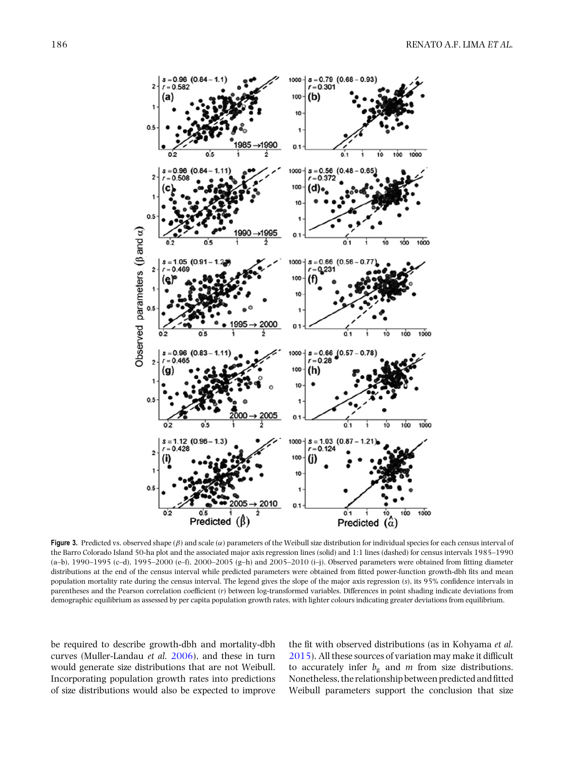<span id="page-8-0"></span>

**Figure 3.** Predicted vs. observed shape  $(\beta)$  and scale  $(\alpha)$  parameters of the Weibull size distribution for individual species for each census interval of the Barro Colorado Island 50-ha plot and the associated major axis regression lines (solid) and 1:1 lines (dashed) for census intervals 1985–1990 (a–b), 1990–1995 (c–d), 1995–2000 (e–f), 2000–2005 (g–h) and 2005–2010 (i–j). Observed parameters were obtained from fitting diameter distributions at the end of the census interval while predicted parameters were obtained from fitted power-function growth-dbh fits and mean population mortality rate during the census interval. The legend gives the slope of the major axis regression (*s*), its 95% confidence intervals in parentheses and the Pearson correlation coefficient (*r*) between log-transformed variables. Differences in point shading indicate deviations from demographic equilibrium as assessed by per capita population growth rates, with lighter colours indicating greater deviations from equilibrium.

be required to describe growth-dbh and mortality-dbh curves (Muller-Landau *et al.* [2006\)](#page-9-0), and these in turn would generate size distributions that are not Weibull. Incorporating population growth rates into predictions of size distributions would also be expected to improve

the fit with observed distributions (as in Kohyama *et al.* [2015\)](#page-9-0). All these sources of variation may make it difficult to accurately infer  $b_g$  and  $m$  from size distributions. Nonetheless, the relationship between predicted and fitted Weibull parameters support the conclusion that size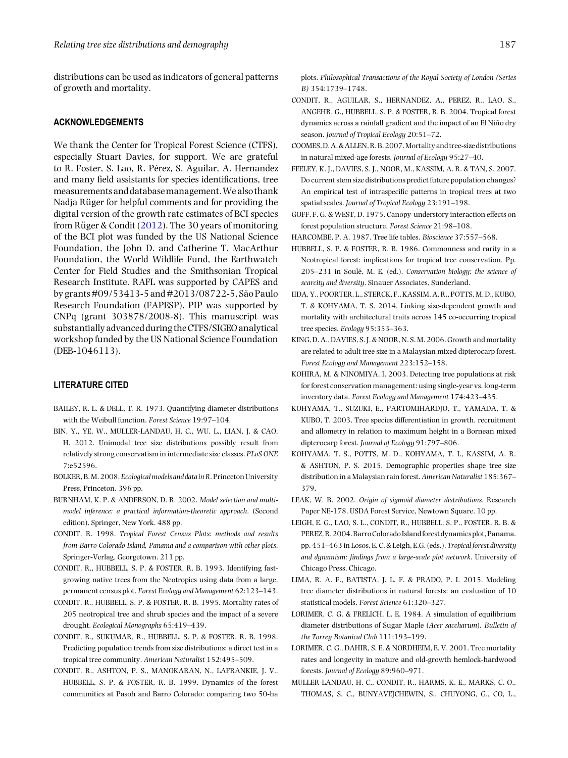<span id="page-9-0"></span>distributions can be used as indicators of general patterns of growth and mortality.

#### **ACKNOWLEDGEMENTS**

We thank the Center for Tropical Forest Science (CTFS), especially Stuart Davies, for support. We are grateful to R. Foster, S. Lao, R. Pérez, S. Aguilar, A. Hernandez and many field assistants for species identifications, tree measurements and databasemanagement.We also thank Nadja Rüger for helpful comments and for providing the digital version of the growth rate estimates of BCI species from Rüger & Condit  $(2012)$  $(2012)$ . The 30 years of monitoring of the BCI plot was funded by the US National Science Foundation, the John D. and Catherine T. MacArthur Foundation, the World Wildlife Fund, the Earthwatch Center for Field Studies and the Smithsonian Tropical Research Institute. RAFL was supported by CAPES and by grants #09/53413-5 and #2013/08722-5, São Paulo Research Foundation (FAPESP). PIP was supported by CNPq (grant 303878/2008-8). This manuscript was substantially advanced during the CTFS/SIGEO analytical workshop funded by the US National Science Foundation (DEB-1046113).

#### **LITERATURE CITED**

- BAILEY, R. L. & DELL, T. R. 1973. Quantifying diameter distributions with the Weibull function. *Forest Science* 19:97–104.
- BIN, Y., YE, W., MULLER-LANDAU, H. C., WU, L., LIAN, J. & CAO, H. 2012. Unimodal tree size distributions possibly result from relatively strong conservatism in intermediate size classes. *PLoS ONE* 7:e52596.
- BOLKER, B.M. 2008.*Ecologicalmodels and datainR*. PrincetonUniversity Press, Princeton. 396 pp.
- BURNHAM, K. P. & ANDERSON, D. R. 2002. *Model selection and multimodel inference: a practical information-theoretic approach*. (Second edition). Springer, New York. 488 pp.
- CONDIT, R. 1998. *Tropical Forest Census Plots: methods and results from Barro Colorado Island, Panama and a comparison with other plots*. Springer-Verlag, Georgetown. 211 pp.
- CONDIT, R., HUBBELL, S. P. & FOSTER, R. B. 1993. Identifying fastgrowing native trees from the Neotropics using data from a large, permanent census plot. *Forest Ecology and Management* 62:123–143.
- CONDIT, R., HUBBELL, S. P. & FOSTER, R. B. 1995. Mortality rates of 205 neotropical tree and shrub species and the impact of a severe drought. *Ecological Monographs* 65:419–439.
- CONDIT, R., SUKUMAR, R., HUBBELL, S. P. & FOSTER, R. B. 1998. Predicting population trends from size distributions: a direct test in a tropical tree community. *American Naturalist* 152:495–509.
- CONDIT, R., ASHTON, P. S., MANOKARAN, N., LAFRANKIE, J. V., HUBBELL, S. P. & FOSTER, R. B. 1999. Dynamics of the forest communities at Pasoh and Barro Colorado: comparing two 50-ha

plots. *Philosophical Transactions of the Royal Society of London (Series B)* 354:1739–1748.

- CONDIT, R., AGUILAR, S., HERNANDEZ, A., PEREZ, R., LAO, S., ANGEHR, G., HUBBELL, S. P. & FOSTER, R. B. 2004. Tropical forest dynamics across a rainfall gradient and the impact of an El Niño dry season. *Journal of Tropical Ecology* 20:51–72.
- COOMES,D.A.&ALLEN,R.B.2007.Mortality and tree-size distributions in natural mixed-age forests. *Journal of Ecology* 95:27–40.
- FEELEY, K. J., DAVIES, S. J., NOOR, M., KASSIM, A. R. & TAN, S. 2007. Do current stem size distributions predict future population changes? An empirical test of intraspecific patterns in tropical trees at two spatial scales. *Journal of Tropical Ecology* 23:191–198.
- GOFF, F. G. & WEST, D. 1975. Canopy-understory interaction effects on forest population structure. *Forest Science* 21:98–108.
- HARCOMBE, P. A. 1987. Tree life tables. *Bioscience* 37:557–568.
- HUBBELL, S. P. & FOSTER, R. B. 1986. Commonness and rarity in a Neotropical forest: implications for tropical tree conservation. Pp. 205–231 in Soule, M. E. (ed.). ´ *Conservation biology: the science of scarcity and diversity*. Sinauer Associates, Sunderland.
- IIDA, Y., POORTER, L., STERCK, F., KASSIM, A. R., POTTS,M. D., KUBO, T. & KOHYAMA, T. S. 2014. Linking size-dependent growth and mortality with architectural traits across 145 co-occurring tropical tree species. *Ecology* 95:353–363.
- KING, D. A., DAVIES, S. J. & NOOR, N. S. M. 2006. Growth and mortality are related to adult tree size in a Malaysian mixed dipterocarp forest. *Forest Ecology and Management* 223:152–158.
- KOHIRA, M. & NINOMIYA, I. 2003. Detecting tree populations at risk for forest conservation management: using single-year vs. long-term inventory data. *Forest Ecology and Management* 174:423–435.
- KOHYAMA, T., SUZUKI, E., PARTOMIHARDJO, T., YAMADA, T. & KUBO, T. 2003. Tree species differentiation in growth, recruitment and allometry in relation to maximum height in a Bornean mixed dipterocarp forest. *Journal of Ecology* 91:797–806.
- KOHYAMA, T. S., POTTS, M. D., KOHYAMA, T. I., KASSIM, A. R. & ASHTON, P. S. 2015. Demographic properties shape tree size distribution in a Malaysian rain forest.*American Naturalist* 185:367– 379.
- LEAK, W. B. 2002. *Origin of sigmoid diameter distributions*. Research Paper NE-178. USDA Forest Service, Newtown Square. 10 pp.
- LEIGH, E. G., LAO, S. L., CONDIT, R., HUBBELL, S. P., FOSTER, R. B. & PEREZ,R.2004.BarroColorado Islandforest dynamics plot,Panama. pp. 451–463 in Losos, E. C. & Leigh, E.G. (eds.). *Tropical forest diversity and dynamism: findings from a large-scale plot network*. University of Chicago Press, Chicago.
- LIMA, R. A. F., BATISTA, J. L. F. & PRADO, P. I. 2015. Modeling tree diameter distributions in natural forests: an evaluation of 10 statistical models. *Forest Science* 61:320–327.
- LORIMER, C. G. & FRELICH, L. E. 1984. A simulation of equilibrium diameter distributions of Sugar Maple (*Acer saccharum*). *Bulletin of the Torrey Botanical Club* 111:193–199.
- LORIMER, C. G., DAHIR, S. E. & NORDHEIM, E. V. 2001. Tree mortality rates and longevity in mature and old-growth hemlock-hardwood forests. *Journal of Ecology* 89:960–971.
- MULLER-LANDAU, H. C., CONDIT, R., HARMS, K. E., MARKS, C. O., THOMAS, S. C., BUNYAVEJCHEWIN, S., CHUYONG, G., CO, L.,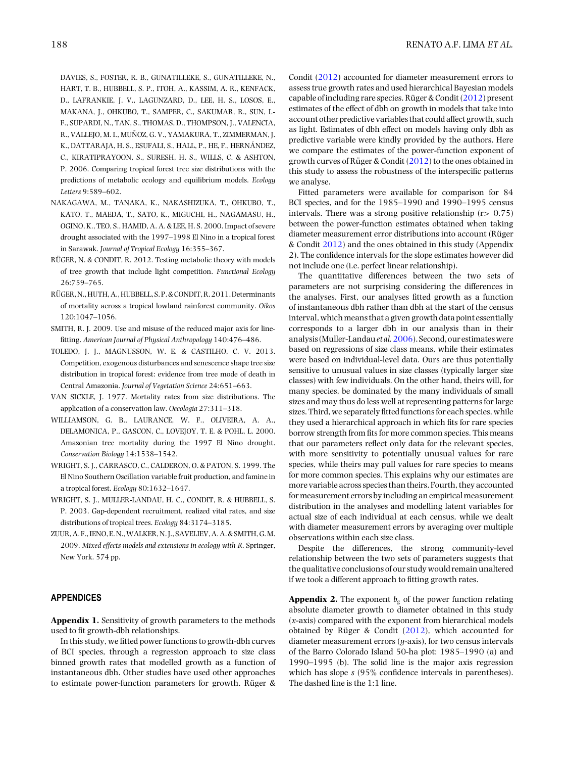<span id="page-10-0"></span>R., VALLEJO, M. I., MUÑOZ, G. V., YAMAKURA, T., ZIMMERMAN, J. K., DATTARAJA, H. S., ESUFALI, S., HALL, P., HE, F., HERNÁNDEZ, C., KIRATIPRAYOON, S., SURESH, H. S., WILLS, C. & ASHTON, P. 2006. Comparing tropical forest tree size distributions with the predictions of metabolic ecology and equilibrium models. *Ecology Letters* 9:589–602.

- NAKAGAWA, M., TANAKA, K., NAKASHIZUKA, T., OHKUBO, T., KATO, T., MAEDA, T., SATO, K., MIGUCHI, H., NAGAMASU, H., OGINO, K., TEO, S., HAMID, A. A. & LEE, H. S. 2000. Impact of severe drought associated with the 1997–1998 El Nino in a tropical forest in Sarawak. *Journal of Tropical Ecology* 16:355–367.
- RÜGER, N. & CONDIT, R. 2012. Testing metabolic theory with models of tree growth that include light competition. *Functional Ecology* 26:759–765.
- RUGER,N.,HUTH,A.,HUBBELL, S.P.&CONDIT,R.2011.Determinants ¨ of mortality across a tropical lowland rainforest community. *Oikos* 120:1047–1056.
- SMITH, R. J. 2009. Use and misuse of the reduced major axis for linefitting. *American Journal of Physical Anthropology* 140:476–486.
- TOLEDO, J. J., MAGNUSSON, W. E. & CASTILHO, C. V. 2013. Competition, exogenous disturbances and senescence shape tree size distribution in tropical forest: evidence from tree mode of death in Central Amazonia. *Journal of Vegetation Science* 24:651–663.
- VAN SICKLE, J. 1977. Mortality rates from size distributions. The application of a conservation law. *Oecologia* 27:311–318.
- WILLIAMSON, G. B., LAURANCE, W. F., OLIVEIRA, A. A., DELAMONICA, P., GASCON, C., LOVEJOY, T. E. & POHL, L. 2000. Amazonian tree mortality during the 1997 El Nino drought. *Conservation Biology* 14:1538–1542.
- WRIGHT, S. J., CARRASCO, C., CALDERON, O. & PATON, S. 1999. The El Nino Southern Oscillation variable fruit production, and famine in a tropical forest. *Ecology* 80:1632–1647.
- WRIGHT, S. J., MULLER-LANDAU, H. C., CONDIT, R. & HUBBELL, S. P. 2003. Gap-dependent recruitment, realized vital rates, and size distributions of tropical trees. *Ecology* 84:3174–3185.
- ZUUR, A. F., IENO, E. N.,WALKER, N. J., SAVELIEV, A. A.& SMITH,G.M. 2009. *Mixed effects models and extensions in ecology with R*. Springer, New York. 574 pp.

#### **APPENDICES**

**Appendix 1.** Sensitivity of growth parameters to the methods used to fit growth-dbh relationships.

In this study, we fitted power functions to growth-dbh curves of BCI species, through a regression approach to size class binned growth rates that modelled growth as a function of instantaneous dbh. Other studies have used other approaches to estimate power-function parameters for growth. Rüger  $&$ 

Condit (2012) accounted for diameter measurement errors to assess true growth rates and used hierarchical Bayesian models capable of including rare species. Rüger & Condit  $(2012)$  present estimates of the effect of dbh on growth in models that take into account other predictive variables that could affect growth, such as light. Estimates of dbh effect on models having only dbh as predictive variable were kindly provided by the authors. Here we compare the estimates of the power-function exponent of growth curves of Rüger & Condit  $(2012)$  to the ones obtained in this study to assess the robustness of the interspecific patterns we analyse.

Fitted parameters were available for comparison for 84 BCI species, and for the 1985–1990 and 1990–1995 census intervals. There was a strong positive relationship  $(r > 0.75)$ between the power-function estimates obtained when taking diameter measurement error distributions into account (Rüger & Condit 2012) and the ones obtained in this study (Appendix 2). The confidence intervals for the slope estimates however did not include one (i.e. perfect linear relationship).

The quantitative differences between the two sets of parameters are not surprising considering the differences in the analyses. First, our analyses fitted growth as a function of instantaneous dbh rather than dbh at the start of the census interval, which means that a given growth data point essentially corresponds to a larger dbh in our analysis than in their analysis (Muller-Landau*et al.*[2006\)](#page-9-0). Second, our estimateswere based on regressions of size class means, while their estimates were based on individual-level data. Ours are thus potentially sensitive to unusual values in size classes (typically larger size classes) with few individuals. On the other hand, theirs will, for many species, be dominated by the many individuals of small sizes and may thus do less well at representing patterns for large sizes. Third, we separately fitted functions for each species, while they used a hierarchical approach in which fits for rare species borrow strength from fits for more common species. This means that our parameters reflect only data for the relevant species, with more sensitivity to potentially unusual values for rare species, while theirs may pull values for rare species to means for more common species. This explains why our estimates are more variable across species than theirs. Fourth, they accounted for measurement errors by including an empirical measurement distribution in the analyses and modelling latent variables for actual size of each individual at each census, while we dealt with diameter measurement errors by averaging over multiple observations within each size class.

Despite the differences, the strong community-level relationship between the two sets of parameters suggests that the qualitative conclusions of our study would remain unaltered if we took a different approach to fitting growth rates.

**Appendix 2.** The exponent  $b<sub>g</sub>$  of the power function relating absolute diameter growth to diameter obtained in this study (*x*-axis) compared with the exponent from hierarchical models obtained by Rüger & Condit  $(2012)$ , which accounted for diameter measurement errors (*y*-axis), for two census intervals of the Barro Colorado Island 50-ha plot: 1985–1990 (a) and 1990–1995 (b). The solid line is the major axis regression which has slope *s* (95% confidence intervals in parentheses). The dashed line is the 1:1 line.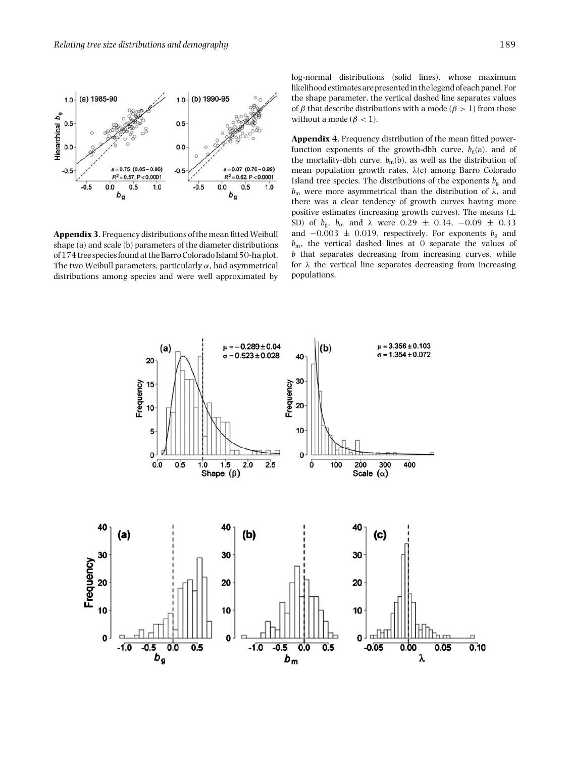

Appendix 3. Frequency distributions of the mean fitted Weibull shape (a) and scale (b) parameters of the diameter distributions of 174 tree species found at the Barro Colorado Island 50-ha plot. The two Weibull parameters, particularly  $\alpha$ , had asymmetrical distributions among species and were well approximated by

log-normal distributions (solid lines), whose maximum likelihood estimates are presentedin thelegend of each panel. For the shape parameter, the vertical dashed line separates values of  $\beta$  that describe distributions with a mode ( $\beta > 1$ ) from those without a mode ( $\beta$  < 1).

**Appendix 4**. Frequency distribution of the mean fitted powerfunction exponents of the growth-dbh curve,  $b_g(a)$ , and of the mortality-dbh curve,  $b_m(b)$ , as well as the distribution of mean population growth rates,  $\lambda(c)$  among Barro Colorado Island tree species. The distributions of the exponents  $b_{\alpha}$  and  $b_m$  were more asymmetrical than the distribution of  $\lambda$ , and there was a clear tendency of growth curves having more positive estimates (increasing growth curves). The means  $(\pm$ SD) of  $b_g$ ,  $b_m$  and  $\lambda$  were 0.29  $\pm$  0.34, -0.09  $\pm$  0.33 and  $-0.003 \pm 0.019$ , respectively. For exponents  $b_g$  and  $b_m$ , the vertical dashed lines at 0 separate the values of *b* that separates decreasing from increasing curves, while for  $\lambda$  the vertical line separates decreasing from increasing populations.

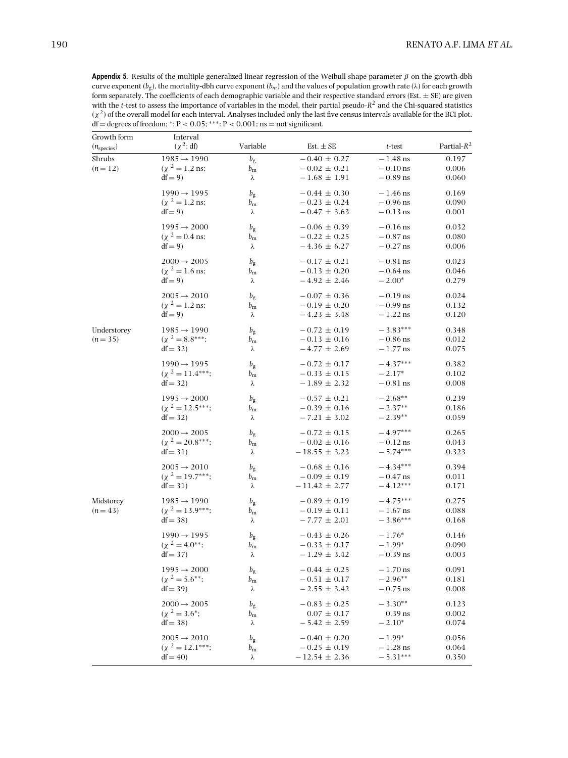**Appendix 5.** Results of the multiple generalized linear regression of the Weibull shape parameter  $\beta$  on the growth-dbh curve exponent (*b*g), the mortality-dbh curve exponent (*bm*) and the values of population growth rate (λ) for each growth form separately. The coefficients of each demographic variable and their respective standard errors (Est.  $\pm$  SE) are given with the *t*-test to assess the importance of variables in the model, their partial pseudo-*R*<sup>2</sup> and the Chi-squared statistics  $(\chi^2)$  of the overall model for each interval. Analyses included only the last five census intervals available for the BCI plot. df = degrees of freedom; \*: P < 0.05; \*\*\*: P < 0.001; ns = not significant.

| Growth form     | Interval                    |             |                   |                            |                |
|-----------------|-----------------------------|-------------|-------------------|----------------------------|----------------|
| $(n_{species})$ | $(\chi^2; df)$              | Variable    | Est. $\pm$ SE     | t-test                     | Partial- $R^2$ |
| Shrubs          | $1985 \rightarrow 1990$     | $b_{\rm g}$ | $-0.40 \pm 0.27$  | $-$ 1.48 $\mathrm{ns}$     | 0.197          |
| $(n = 12)$      | $(x^2 = 1.2$ ns:            | $b_{\rm m}$ | $-0.02 \pm 0.21$  | $- \, 0.10 \, \mathrm{ns}$ | 0.006          |
|                 | $df = 9$                    | λ           | $-1.68 \pm 1.91$  | $-0.89$ ns                 | 0.060          |
|                 | $1990 \rightarrow 1995$     | $b_{\rm g}$ | $-0.44 \pm 0.30$  | $-1.46$ ns                 | 0.169          |
|                 | $(x^2 = 1.2$ ns:            | $b_{\rm m}$ | $-0.23 \pm 0.24$  | $-0.96$ ns                 | 0.090          |
|                 | $df = 9$                    | λ           | $-0.47 \pm 3.63$  | $-0.13$ ns                 | 0.001          |
|                 | $1995 \rightarrow 2000$     | $b_{\rm g}$ | $-0.06 \pm 0.39$  | $-0.16$ ns                 | 0.032          |
|                 | $(x^2 = 0.4$ ns;            | $b_{\rm m}$ | $-0.22 \pm 0.25$  | $-0.87$ ns                 | 0.080          |
|                 | $df = 9$                    | λ           | $-4.36 \pm 6.27$  | $-0.27$ ns                 | 0.006          |
|                 | $2000 \rightarrow 2005$     | $b_{\rm g}$ | $-0.17 \pm 0.21$  | $-0.81$ ns                 | 0.023          |
|                 | $(x^2 = 1.6$ ns:            | $b_{\rm m}$ | $-0.13 \pm 0.20$  | $-0.64$ ns                 | 0.046          |
|                 | $df = 9$                    | λ           | $-4.92 \pm 2.46$  | $-2.00*$                   | 0.279          |
|                 | $2005 \rightarrow 2010$     | $b_{\rm g}$ | $-0.07 \pm 0.36$  | $-0.19$ ns                 | 0.024          |
|                 | $(\chi^2 = 1.2 \text{ ns})$ | $b_{\rm m}$ | $-0.19 \pm 0.20$  | $-0.99$ ns                 | 0.132          |
|                 | $df = 9$                    | λ           | $-4.23 \pm 3.48$  | $-1.22$ ns                 | 0.120          |
| Understorey     | $1985 \rightarrow 1990$     | $b_{\rm g}$ | $-0.72 \pm 0.19$  | $-3.83***$                 | 0.348          |
| $(n = 35)$      | $(\chi^2 = 8.8^{***};$      | $b_{\rm m}$ | $-0.13 \pm 0.16$  | $-0.86$ ns                 | 0.012          |
|                 | $df = 32$                   | λ           | $-4.77 \pm 2.69$  | $-1.77$ ns                 | 0.075          |
|                 | $1990 \rightarrow 1995$     | $b_{\rm g}$ | $-0.72 \pm 0.17$  | $-4.37***$                 | 0.382          |
|                 | $(\chi^2 = 11.4^{***};$     | $b_{\rm m}$ | $-0.33 \pm 0.15$  | $-2.17*$                   | 0.102          |
|                 | $df = 32$                   | λ           | $-1.89 \pm 2.32$  | $-0.81$ ns                 | 0.008          |
|                 | $1995 \rightarrow 2000$     | $b_{\rm g}$ | $-0.57 \pm 0.21$  | $-2.68**$                  | 0.239          |
|                 | $(\chi^2 = 12.5^{***};$     | $b_{\rm m}$ | $-0.39 \pm 0.16$  | $-2.37**$                  | 0.186          |
|                 | $df = 32$                   | λ           | $-7.21 \pm 3.02$  | $-2.39**$                  | 0.059          |
|                 | $2000 \rightarrow 2005$     | $b_{\rm g}$ | $-0.72 \pm 0.15$  | $-4.97***$                 | 0.265          |
|                 | $(\chi^2 = 20.8^{***};$     | $b_{\rm m}$ | $-0.02 \pm 0.16$  | $-0.12$ ns                 | 0.043          |
|                 | $df = 31$                   | λ           | $-18.55 \pm 3.23$ | $-5.74***$                 | 0.323          |
|                 | $2005 \rightarrow 2010$     | $b_{\rm g}$ | $-0.68 \pm 0.16$  | $-4.34***$                 | 0.394          |
|                 | $(\chi^2 = 19.7***;$        | $b_{\rm m}$ | $-0.09 \pm 0.19$  | $-0.47$ ns                 | 0.011          |
|                 | $df = 31$                   | λ           | $-11.42 \pm 2.77$ | $-4.12***$                 | 0.171          |
| Midstorey       | $1985 \rightarrow 1990$     | $b_{\rm g}$ | $-0.89 \pm 0.19$  | $-4.75***$                 | 0.275          |
| $(n = 43)$      | $(\chi^2 = 13.9^{***};$     | $b_{\rm m}$ | $-0.19 \pm 0.11$  | $-1.67$ ns                 | 0.088          |
|                 | $df = 38$                   | λ           | $-7.77 \pm 2.01$  | $-3.86***$                 | 0.168          |
|                 | $1990 \rightarrow 1995$     | $b_{\rm g}$ | $-0.43 \pm 0.26$  | $-1.76*$                   | 0.146          |
|                 | $(\chi^2 = 4.0^{**})$       | $b_{\rm m}$ | $-0.33 \pm 0.17$  | $-1.99*$                   | 0.090          |
|                 | $df = 37$                   | λ           | $-1.29 \pm 3.42$  | $-0.39$ ns                 | 0.003          |
|                 | $1995 \rightarrow 2000$     | $b_{\rm g}$ | $-0.44 \pm 0.25$  | $-1.70$ ns                 | 0.091          |
|                 | $(\chi^2 = 5.6^{**})$       | $b_{\rm m}$ | $-0.51 \pm 0.17$  | $-2.96**$                  | 0.181          |
|                 | $df = 39$                   | λ           | $-2.55 \pm 3.42$  | $-0.75$ ns                 | 0.008          |
|                 | $2000 \rightarrow 2005$     | $b_{\rm g}$ | $-0.83 \pm 0.25$  | $-3.30**$                  | 0.123          |
|                 | $(\chi^2 = 3.6^*;$          | $b_{\rm m}$ | $0.07 \pm 0.17$   | $0.39$ ns                  | 0.002          |
|                 | $df = 38$                   | λ           | $-5.42 \pm 2.59$  | $-2.10*$                   | 0.074          |
|                 | $2005 \rightarrow 2010$     | $b_{\rm g}$ | $-0.40 \pm 0.20$  | $-1.99*$                   | 0.056          |
|                 | $(\chi^2 = 12.1^{***};$     | $b_{\rm m}$ | $-0.25 \pm 0.19$  | $-1.28$ ns                 | 0.064          |
|                 | $df = 40$                   | λ           | $-12.54 \pm 2.36$ | $-5.31***$                 | 0.350          |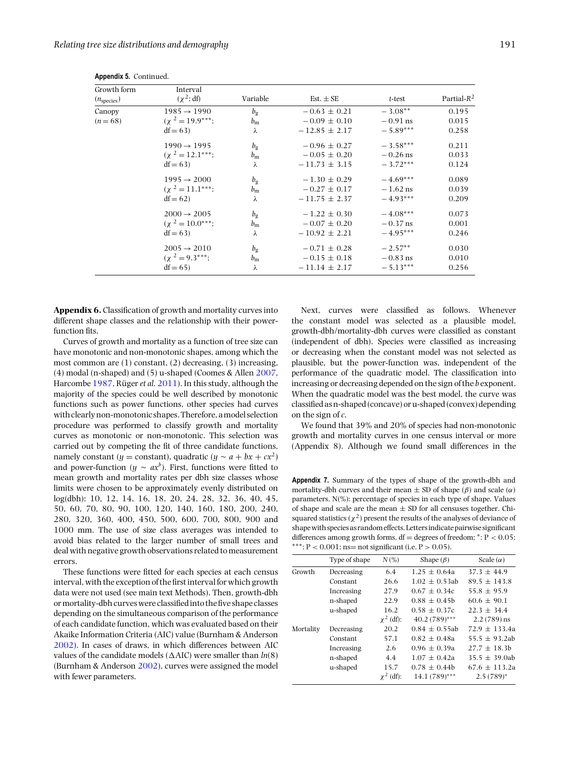| Interval                |                    |                   |            |                |
|-------------------------|--------------------|-------------------|------------|----------------|
| $(x^2; df)$             | Variable           | Est. $\pm$ SE     | t-test     | Partial- $R^2$ |
| $1985 \rightarrow 1990$ | $b_{\mathfrak{Q}}$ | $-0.63 \pm 0.21$  | $-3.08**$  | 0.195          |
| $(x^2 = 19.9***;$       | $b_{\rm m}$        | $-0.09 \pm 0.10$  | $-0.91$ ns | 0.015          |
| $df = 63$               | λ                  | $-12.85 \pm 2.17$ | $-5.89***$ | 0.258          |
| $1990 \rightarrow 1995$ | $b_{\mathfrak{a}}$ | $-0.96 \pm 0.27$  | $-3.58***$ | 0.211          |
| $(x^2 = 12.1***$        | $b_{\rm m}$        | $-0.05 \pm 0.20$  | $-0.26$ ns | 0.033          |
| $df = 63$               | λ                  | $-11.73 \pm 3.15$ | $-3.72***$ | 0.124          |
| $1995 \rightarrow 2000$ | $b_{\mathfrak{a}}$ | $-1.30 \pm 0.29$  | $-4.69***$ | 0.089          |
| $(x^2 = 11.1***$        | $b_{\rm m}$        | $-0.27 \pm 0.17$  | $-1.62$ ns | 0.039          |
| $df = 62$               | λ                  | $-11.75 \pm 2.37$ | $-4.93***$ | 0.209          |
| $2000 \rightarrow 2005$ | $b_{\mathfrak{a}}$ | $-1.22 \pm 0.30$  | $-4.08***$ | 0.073          |
| $(x^2 = 10.0^{***})$    | $b_{\rm m}$        | $-0.07 \pm 0.20$  | $-0.37$ ns | 0.001          |
| $df = 63$               | λ                  | $-10.92 \pm 2.21$ | $-4.95***$ | 0.246          |
| $2005 \rightarrow 2010$ | $b_{\mathfrak{a}}$ | $-0.71 \pm 0.28$  | $-2.57**$  | 0.030          |
| $(x^2 = 9.3***$         | $b_{\rm m}$        | $-0.15 \pm 0.18$  | $-0.83$ ns | 0.010          |
| $df = 65$               | λ                  | $-11.14 \pm 2.17$ | $-5.13***$ | 0.256          |
|                         |                    |                   |            |                |

**Appendix 5.** Continued.

**Appendix 6.** Classification of growth and mortality curves into different shape classes and the relationship with their powerfunction fits.

Curves of growth and mortality as a function of tree size can have monotonic and non-monotonic shapes, among which the most common are (1) constant, (2) decreasing, (3) increasing, (4) modal (n-shaped) and (5) u-shaped (Coomes & Allen [2007,](#page-9-0) Harcombe [1987,](#page-9-0) Rüger *et al.* [2011\)](#page-10-0). In this study, although the majority of the species could be well described by monotonic functions such as power functions, other species had curves with clearlynon-monotonic shapes.Therefore, amodel selection procedure was performed to classify growth and mortality curves as monotonic or non-monotonic. This selection was carried out by competing the fit of three candidate functions, namely constant ( $y =$  constant), quadratic ( $y \sim a + bx + cx^2$ ) and power-function ( $y \sim ax^b$ ). First, functions were fitted to mean growth and mortality rates per dbh size classes whose limits were chosen to be approximately evenly distributed on log(dbh): 10, 12, 14, 16, 18, 20, 24, 28, 32, 36, 40, 45, 50, 60, 70, 80, 90, 100, 120, 140, 160, 180, 200, 240, 280, 320, 360, 400, 450, 500, 600, 700, 800, 900 and 1000 mm. The use of size class averages was intended to avoid bias related to the larger number of small trees and deal with negative growth observations related to measurement errors.

These functions were fitted for each species at each census interval, with the exception of the first interval for which growth data were not used (see main text Methods). Then, growth-dbh ormortality-dbh curves were classified into the five shape classes depending on the simultaneous comparison of the performance of each candidate function, which was evaluated based on their Akaike Information Criteria (AIC) value (Burnham & Anderson [2002\)](#page-9-0). In cases of draws, in which differences between AIC values of the candidate models  $(\Delta AIC)$  were smaller than  $ln(8)$ (Burnham & Anderson [2002\)](#page-9-0), curves were assigned the model with fewer parameters.

Next, curves were classified as follows. Whenever the constant model was selected as a plausible model, growth-dbh/mortality-dbh curves were classified as constant (independent of dbh). Species were classified as increasing or decreasing when the constant model was not selected as plausible, but the power-function was, independent of the performance of the quadratic model. The classification into increasing or decreasing depended on the sign of the *b* exponent. When the quadratic model was the best model, the curve was classified as n-shaped (concave) or u-shaped (convex) depending on the sign of *c*.

We found that 39% and 20% of species had non-monotonic growth and mortality curves in one census interval or more (Appendix 8). Although we found small differences in the

**Appendix 7.** Summary of the types of shape of the growth-dbh and mortality-dbh curves and their mean  $\pm$  SD of shape ( $\beta$ ) and scale ( $\alpha$ ) parameters. N(%): percentage of species in each type of shape. Values of shape and scale are the mean  $\pm$  SD for all censuses together. Chisquared statistics ( $\chi^2$ ) present the results of the analyses of deviance of shapewith species as random effects. Lettersindicate pairwise significant differences among growth forms. df = degrees of freedom;  $* : P < 0.05$ ;  $***: P < 0.001$ ; ns= not significant (i.e.  $P > 0.05$ ).

|           | Type of shape | $N\left(\%\right)$ | Shape $(\beta)$    | Scale $(\alpha)$  |
|-----------|---------------|--------------------|--------------------|-------------------|
| Growth    | Decreasing    | 6.4                | $1.25 \pm 0.64a$   | $37.3 \pm 44.9$   |
|           | Constant      | 26.6               | $1.02 + 0.53$ ab   | $89.5 + 143.8$    |
|           | Increasing    | 27.9               | $0.67 + 0.34c$     | $55.8 + 95.9$     |
|           | n-shaped      | 22.9               | $0.88 \pm 0.45$    | $60.6 \pm 90.1$   |
|           | u-shaped      | 16.2               | $0.58 + 0.37c$     | $22.3 + 34.4$     |
|           |               | $\chi^2$ (df):     | $40.2(789)$ ***    | $2.2(789)$ ns     |
| Mortality | Decreasing    | 20.2               | $0.84 \pm 0.55$ ab | $72.9 \pm 133.4a$ |
|           | Constant      | 57.1               | $0.82 \pm 0.48a$   | 55.5 $\pm$ 93.2ab |
|           | Increasing    | 2.6                | $0.96 + 0.39a$     | $27.7 + 18.3h$    |
|           | n-shaped      | 4.4                | $1.07 + 0.42a$     | $35.5 \pm 39.0ab$ |
|           | u-shaped      | 15.7               | $0.78 + 0.44$      | $67.6 + 113.2a$   |
|           |               | $\chi^2$ (df):     | $14.1(789)$ ***    | $2.5(789)^*$      |